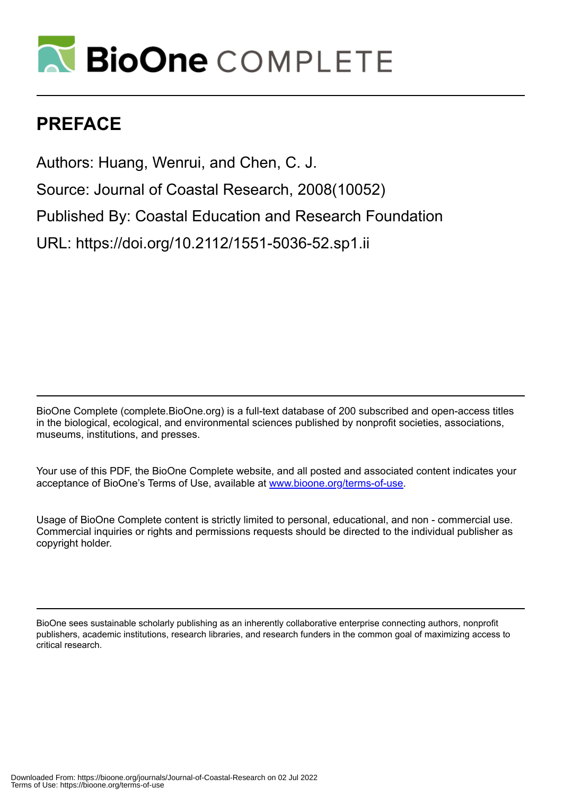## N BioOne COMPLETE

### **PREFACE**

Authors: Huang, Wenrui, and Chen, C. J. Source: Journal of Coastal Research, 2008(10052) Published By: Coastal Education and Research Foundation URL: https://doi.org/10.2112/1551-5036-52.sp1.ii

BioOne Complete (complete.BioOne.org) is a full-text database of 200 subscribed and open-access titles in the biological, ecological, and environmental sciences published by nonprofit societies, associations, museums, institutions, and presses.

Your use of this PDF, the BioOne Complete website, and all posted and associated content indicates your acceptance of BioOne's Terms of Use, available at www.bioone.org/terms-of-use.

Usage of BioOne Complete content is strictly limited to personal, educational, and non - commercial use. Commercial inquiries or rights and permissions requests should be directed to the individual publisher as copyright holder.

BioOne sees sustainable scholarly publishing as an inherently collaborative enterprise connecting authors, nonprofit publishers, academic institutions, research libraries, and research funders in the common goal of maximizing access to critical research.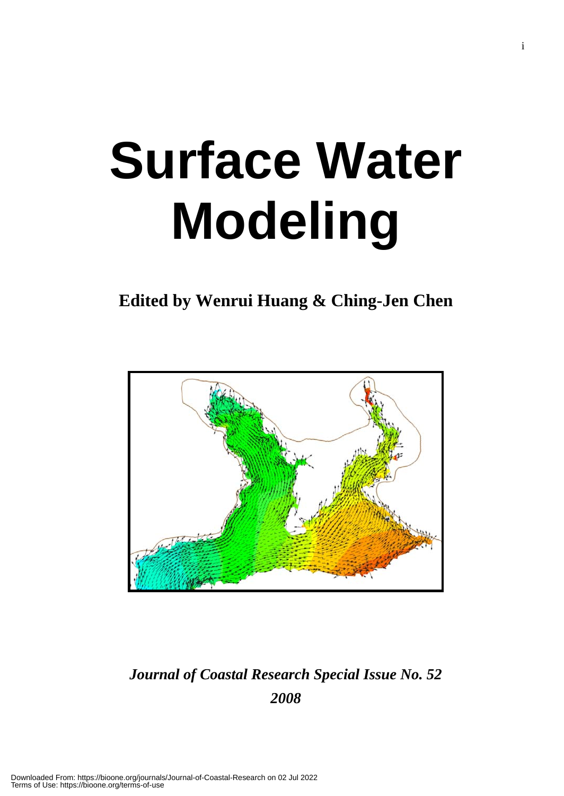# **Surface Water Modeling**

### **Edited by Wenrui Huang & Ching-Jen Chen**



*Journal of Coastal Research Special Issue No. 52 2008*